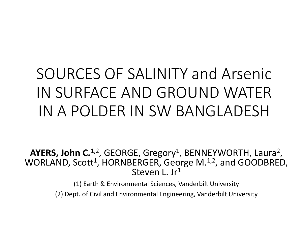# SOURCES OF SALINITY and Arsenic IN SURFACE AND GROUND WATER IN A POLDER IN SW BANGLADESH

AYERS, John C.<sup>1,2</sup>, GEORGE, Gregory<sup>1</sup>, BENNEYWORTH, Laura<sup>2</sup>, WORLAND, Scott<sup>1</sup>, HORNBERGER, George M.<sup>1,2</sup>, and GOODBRED, Steven L. Jr<sup>1</sup>

> (1) Earth & Environmental Sciences, Vanderbilt University (2) Dept. of Civil and Environmental Engineering, Vanderbilt University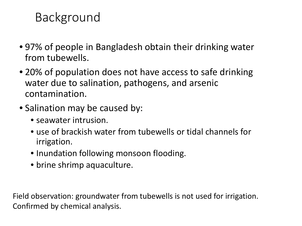# Background

- 97% of people in Bangladesh obtain their drinking water from tubewells.
- 20% of population does not have access to safe drinking water due to salination, pathogens, and arsenic contamination.
- Salination may be caused by:
	- seawater intrusion.
	- use of brackish water from tubewells or tidal channels for irrigation.
	- Inundation following monsoon flooding.
	- brine shrimp aquaculture.

Field observation: groundwater from tubewells is not used for irrigation. Confirmed by chemical analysis.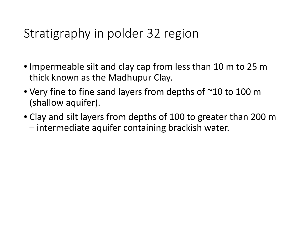## Stratigraphy in polder 32 region

- Impermeable silt and clay cap from less than 10 m to 25 m thick known as the Madhupur Clay.
- Very fine to fine sand layers from depths of ~10 to 100 m (shallow aquifer).
- Clay and silt layers from depths of 100 to greater than 200 m – intermediate aquifer containing brackish water.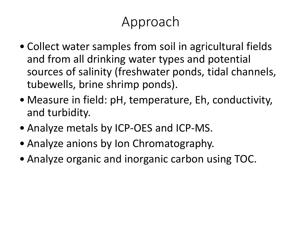# Approach

- Collect water samples from soil in agricultural fields and from all drinking water types and potential sources of salinity (freshwater ponds, tidal channels, tubewells, brine shrimp ponds).
- Measure in field: pH, temperature, Eh, conductivity, and turbidity.
- Analyze metals by ICP-OES and ICP-MS.
- Analyze anions by Ion Chromatography.
- Analyze organic and inorganic carbon using TOC.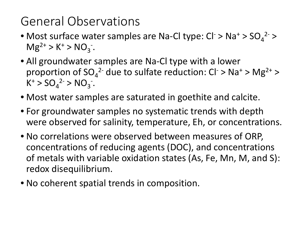# General Observations

- Most surface water samples are Na-Cl type:  $Cl^-$  > Na<sup>+</sup> >  $SO_4^2$  >  $Mg^{2+} > K^+ > NO_3^{-}.$
- All groundwater samples are Na-Cl type with a lower proportion of  $SO_4^2$ <sup>-</sup> due to sulfate reduction:  $Cl^2 > Na^2 > Mg^{2+} >$  $K^+ > SO_4^{2-} > NO_3^{-}.$
- Most water samples are saturated in goethite and calcite.
- For groundwater samples no systematic trends with depth were observed for salinity, temperature, Eh, or concentrations.
- No correlations were observed between measures of ORP, concentrations of reducing agents (DOC), and concentrations of metals with variable oxidation states (As, Fe, Mn, M, and S): redox disequilibrium.
- No coherent spatial trends in composition.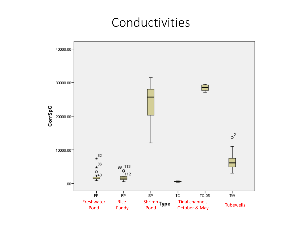#### Conductivities

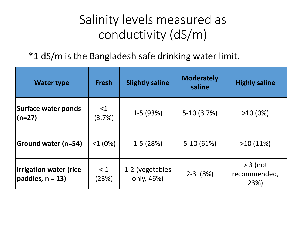# Salinity levels measured as conductivity (dS/m)

#### \*1 dS/m is the Bangladesh safe drinking water limit.

| <b>Water type</b>                                  | <b>Fresh</b>          | <b>Slightly saline</b>        | <b>Moderately</b><br>saline | <b>Highly saline</b>               |
|----------------------------------------------------|-----------------------|-------------------------------|-----------------------------|------------------------------------|
| <b>Surface water ponds</b><br>$(n=27)$             | $\leq$ 1<br>$(3.7\%)$ | $1-5(93%)$                    | $5-10(3.7%)$                | $>10(0\%)$                         |
| Ground water (n=54)                                | $<1(0\%)$             | $1-5(28%)$                    | $5-10(61%)$                 | $>10(11\%)$                        |
| <b>Irrigation water (rice</b><br>paddies, $n = 13$ | < 1<br>(23%)          | 1-2 (vegetables<br>only, 46%) | $2-3$ (8%)                  | $> 3$ (not<br>recommended,<br>23%) |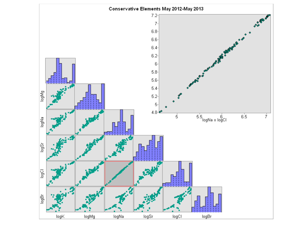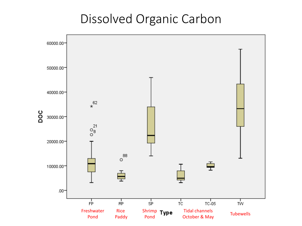#### Dissolved Organic Carbon

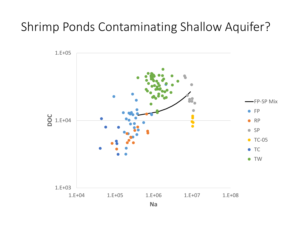### Shrimp Ponds Contaminating Shallow Aquifer?

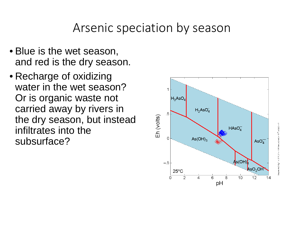Arsenic speciation by season

- Blue is the wet season, and red is the dry season.
- Recharge of oxidizing water in the wet season? Or is organic waste not carried away by rivers in the dry season, but instead infiltrates into the subsurface?

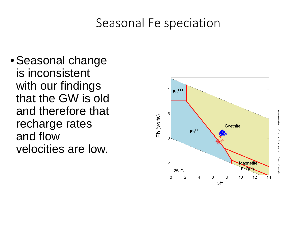#### Seasonal Fe speciation

•Seasonal change is inconsistent with our findings that the GW is old and therefore that recharge rates and flow velocities are low.